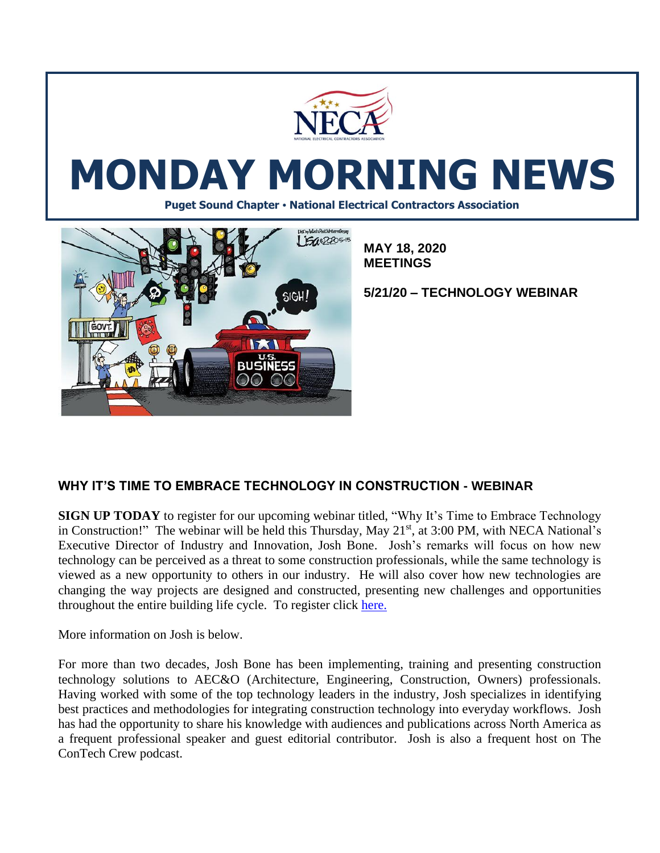

# **MONDAY MORNING NEWS**

**Puget Sound Chapter • National Electrical Contractors Association**



**MAY 18, 2020 MEETINGS**

**5/21/20 – TECHNOLOGY WEBINAR**

# **WHY IT'S TIME TO EMBRACE TECHNOLOGY IN CONSTRUCTION - WEBINAR**

**SIGN UP TODAY** to register for our upcoming webinar titled, "Why It's Time to Embrace Technology in Construction!" The webinar will be held this Thursday, May  $21<sup>st</sup>$ , at 3:00 PM, with NECA National's Executive Director of Industry and Innovation, Josh Bone. Josh's remarks will focus on how new technology can be perceived as a threat to some construction professionals, while the same technology is viewed as a new opportunity to others in our industry. He will also cover how new technologies are changing the way projects are designed and constructed, presenting new challenges and opportunities throughout the entire building life cycle. To register click [here.](https://www.surveymonkey.com/r/PugetSoundNECA)

More information on Josh is below.

For more than two decades, Josh Bone has been implementing, training and presenting construction technology solutions to AEC&O (Architecture, Engineering, Construction, Owners) professionals. Having worked with some of the top technology leaders in the industry, Josh specializes in identifying best practices and methodologies for integrating construction technology into everyday workflows. Josh has had the opportunity to share his knowledge with audiences and publications across North America as a frequent professional speaker and guest editorial contributor. Josh is also a frequent host on The ConTech Crew podcast.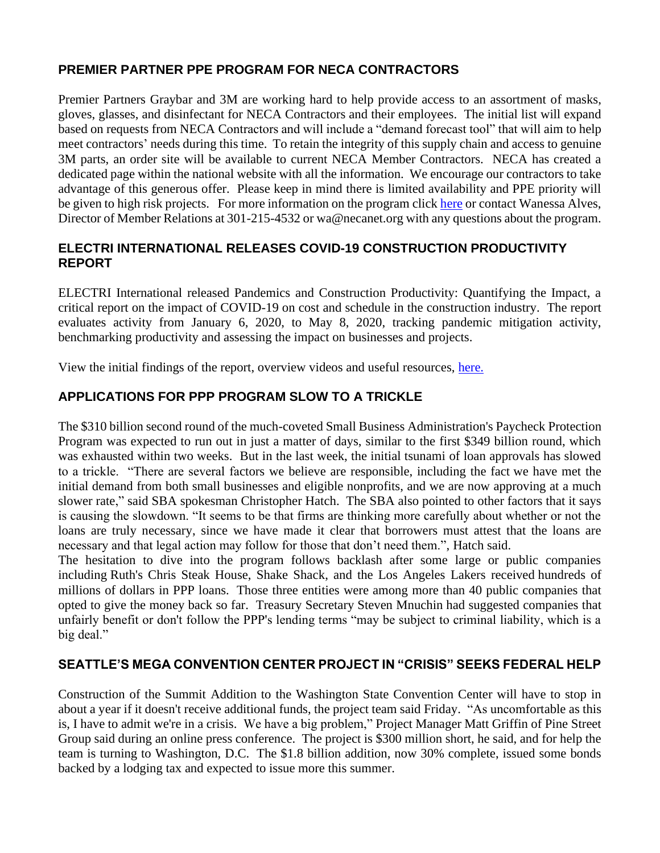### **PREMIER PARTNER PPE PROGRAM FOR NECA CONTRACTORS**

Premier Partners Graybar and 3M are working hard to help provide access to an assortment of masks, gloves, glasses, and disinfectant for NECA Contractors and their employees. The initial list will expand based on requests from NECA Contractors and will include a "demand forecast tool" that will aim to help meet contractors' needs during this time. To retain the integrity of this supply chain and access to genuine 3M parts, an order site will be available to current NECA Member Contractors. NECA has created a dedicated page within the national website with all the information. We encourage our contractors to take advantage of this generous offer. Please keep in mind there is limited availability and PPE priority will be given to high risk projects. For more information on the program click [here](https://www.necanet.org/industry-priorities/safety-regulations/ppeprogram?flp=1&isLoggedIn=1&token=AD7E18AEC0E4595A7CF56E620B0F9A43F5228C89C903C6ED13B6EB0A3F2F3D8B&utm_campaign=COVID-19&utm_source=hs_email&utm_medium=email&utm_content=87819042&_hsenc=p2ANqtz-8wdOR6RGZWzlUFK4DkJWSo-Wq8tmr5UcpCyyXy8dcjmPKVQPCxR48k6Kyly7whnoCceatkdiYWHYtKOuti5OrjbHA0QA&_hsmi=87819042) or contact Wanessa Alves, Director of Member Relations at 301-215-4532 or wa@necanet.org with any questions about the program.

## **ELECTRI INTERNATIONAL RELEASES COVID-19 CONSTRUCTION PRODUCTIVITY REPORT**

ELECTRI International released Pandemics and Construction Productivity: Quantifying the Impact, a critical report on the impact of COVID-19 on cost and schedule in the construction industry. The report evaluates activity from January 6, 2020, to May 8, 2020, tracking pandemic mitigation activity, benchmarking productivity and assessing the impact on businesses and projects.

View the initial findings of the report, overview videos and useful resources, [here.](https://electri.org/product/pandemics-and-construction-productivity-quantifying-the-impact/)

# **APPLICATIONS FOR PPP PROGRAM SLOW TO A TRICKLE**

The \$310 billion second round of the much-coveted Small Business Administration's Paycheck Protection Program was expected to run out in just a matter of days, similar to the first \$349 billion round, which was exhausted within two weeks. But in the last week, the initial tsunami of loan approvals has slowed to a trickle. "There are several factors we believe are responsible, including the fact we have met the initial demand from both small businesses and eligible nonprofits, and we are now approving at a much slower rate," said SBA spokesman [Christopher Hatch.](https://www.bizjournals.com/seattle/search/results?q=Christopher%20Hatch) The SBA also pointed to other factors that it says is causing the slowdown. "It seems to be that firms are thinking more carefully about whether or not the loans are truly necessary, since we have made it clear that borrowers must attest that the loans are necessary and that legal action may follow for those that don't need them.", Hatch said.

The hesitation to dive into the program follows backlash after some large or public companies including Ruth's Chris Steak House, Shake Shack, and the Los Angeles Lakers received [hundreds of](https://www.marketwatch.com/story/here-are-the-public-companies-that-got-coronavirus-aid-meant-for-small-businesses-2020-04-22)  [millions of dollars in PPP loans.](https://www.marketwatch.com/story/here-are-the-public-companies-that-got-coronavirus-aid-meant-for-small-businesses-2020-04-22) Those three entities were among more than 40 public companies that opted to give the money back so far. Treasury Secretary [Steven Mnuchin](https://www.bizjournals.com/seattle/search/results?q=Steven%20Mnuchin) had suggested companies that unfairly benefit or don't follow the PPP's lending terms "may be subject to criminal liability, which is a big deal."

## **SEATTLE'S MEGA CONVENTION CENTER PROJECT IN "CRISIS" SEEKS FEDERAL HELP**

Construction of the Summit Addition to the Washington State Convention Center will have to stop in about a year if it doesn't receive additional funds, the project team said Friday. "As uncomfortable as this is, I have to admit we're in a crisis. We have a big problem," Project Manager Matt Griffin of Pine Street Group said during an online press conference. The project is \$300 million short, he said, and for help the team is turning to Washington, D.C. The \$1.8 billion addition, now 30% complete, issued some bonds backed by a lodging tax and expected to issue more this summer.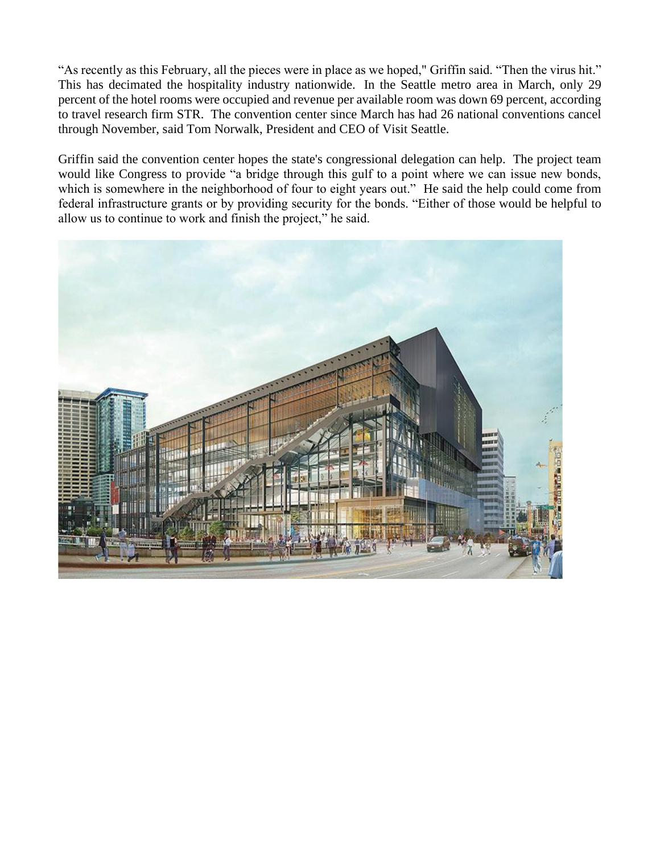"As recently as this February, all the pieces were in place as we hoped," Griffin said. "Then the virus hit." This has decimated the hospitality industry nationwide. In the Seattle metro area in March, only 29 percent of the hotel rooms were occupied and revenue per available room was down 69 percent, according to travel research firm STR. The convention center since March has had 26 national conventions cancel through November, said Tom Norwalk, President and CEO of Visit Seattle.

Griffin said the convention center hopes the state's congressional delegation can help. The project team would like Congress to provide "a bridge through this gulf to a point where we can issue new bonds, which is somewhere in the neighborhood of four to eight years out." He said the help could come from federal infrastructure grants or by providing security for the bonds. "Either of those would be helpful to allow us to continue to work and finish the project," he said.